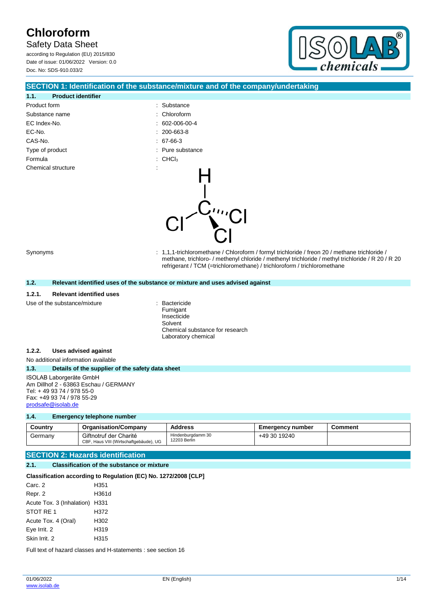Safety Data Sheet

according to Regulation (EU) 2015/830 Date of issue: 01/06/2022 Version: 0.0 Doc. No: SDS-910.033/2



### **SECTION 1: Identification of the substance/mixture and of the company/undertaking**

| 1.1.<br><b>Product identifier</b> |                                |
|-----------------------------------|--------------------------------|
| Product form                      | : Substance                    |
| Substance name                    | : Chloroform                   |
| EC Index-No.                      | $: 602 - 006 - 00 - 4$         |
| EC-No.                            | $: 200 - 663 - 8$              |
| CAS-No.                           | $: 67-66-3$                    |
| Type of product                   | : Pure substance               |
| Formula                           | $\therefore$ CHCl <sub>3</sub> |
| Chemical structure                |                                |

Synonyms : 1,1,1-trichloromethane / Chloroform / formyl trichloride / freon 20 / methane trichloride / methane, trichloro- / methenyl chloride / methenyl trichloride / methyl trichloride / R 20 / R 20 refrigerant / TCM (=trichloromethane) / trichloroform / trichloromethane

#### **1.2. Relevant identified uses of the substance or mixture and uses advised against**

#### **1.2.1. Relevant identified uses**

Use of the substance/mixture **interest and the substance/mixture**  $\cdot$  Bactericide

Fumigant Insecticide Solvent Chemical substance for research Laboratory chemical

#### **1.2.2. Uses advised against**

No additional information available

#### **1.3. Details of the supplier of the safety data sheet**

ISOLAB Laborgeräte GmbH Am Dillhof 2 - 63863 Eschau / GERMANY Tel: + 49 93 74 / 978 55-0 Fax: +49 93 74 / 978 55-29 [prodsafe@isolab.de](mailto:prodsafe@isolab.de)

#### **1.4. Emergency telephone number**

| Countrv | <b>Organisation/Company</b>                                      | <b>Address</b>                    | <b>Emergency number</b> | こomment |
|---------|------------------------------------------------------------------|-----------------------------------|-------------------------|---------|
| Germanv | Giftnotruf der Charité<br>CBF, Haus VIII (Wirtschaftgebäude), UG | Hindenburgdamm 30<br>12203 Berlin | +49 30 19240            |         |

### **SECTION 2: Hazards identification**

#### **2.1. Classification of the substance or mixture**

#### **Classification according to Regulation (EC) No. 1272/2008 [CLP]**

| Carc. 2                        | H351  |
|--------------------------------|-------|
| Repr. 2                        | H361d |
| Acute Tox. 3 (Inhalation) H331 |       |
| STOT RE 1                      | H372  |
| Acute Tox. 4 (Oral)            | H302  |
| Eye Irrit. 2                   | H319  |
| Skin Irrit, 2                  | H315  |

Full text of hazard classes and H-statements : see section 16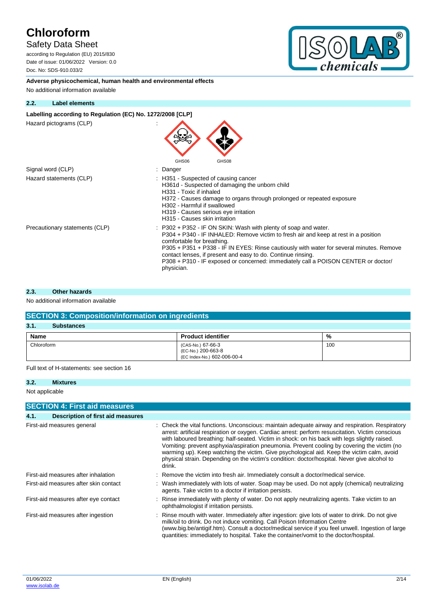## Safety Data Sheet

according to Regulation (EU) 2015/830 Date of issue: 01/06/2022 Version: 0.0 Doc. No: SDS-910.033/2



**Adverse physicochemical, human health and environmental effects** No additional information available

#### **2.2. Label elements**

#### Labelling according to Regulation (EC) No. 1272/2008 [CLP]

Hazard pictograms (CLP) :

| Hazaru pictugrafijs (ULF)      | GHS06<br>GHS08                                                                                                                                                                                                                                                                                                                                                                                                                                       |
|--------------------------------|------------------------------------------------------------------------------------------------------------------------------------------------------------------------------------------------------------------------------------------------------------------------------------------------------------------------------------------------------------------------------------------------------------------------------------------------------|
| Signal word (CLP)              | Danger                                                                                                                                                                                                                                                                                                                                                                                                                                               |
| Hazard statements (CLP)        | H351 - Suspected of causing cancer<br>H361d - Suspected of damaging the unborn child<br>H331 - Toxic if inhaled<br>H372 - Causes damage to organs through prolonged or repeated exposure<br>H302 - Harmful if swallowed<br>H319 - Causes serious eye irritation<br>H315 - Causes skin irritation                                                                                                                                                     |
| Precautionary statements (CLP) | $: P302 + P352$ IF ON SKIN: Wash with plenty of soap and water.<br>P304 + P340 - IF INHALED: Remove victim to fresh air and keep at rest in a position<br>comfortable for breathing.<br>P305 + P351 + P338 - IF IN EYES: Rinse cautiously with water for several minutes. Remove<br>contact lenses, if present and easy to do. Continue rinsing.<br>P308 + P310 - IF exposed or concerned: immediately call a POISON CENTER or doctor/<br>physician. |

 $\blacktriangle$ 

#### **2.3. Other hazards**

#### No additional information available

| <b>SECTION 3: Composition/information on ingredients</b> |                                                                        |     |  |
|----------------------------------------------------------|------------------------------------------------------------------------|-----|--|
| 3.1.<br><b>Substances</b>                                |                                                                        |     |  |
| <b>Name</b>                                              | <b>Product identifier</b>                                              | %   |  |
| Chloroform                                               | (CAS-No.) 67-66-3<br>(EC-No.) 200-663-8<br>(EC Index-No.) 602-006-00-4 | 100 |  |

Full text of H-statements: see section 16

#### **3.2. Mixtures**

Not applicable

|      | <b>SECTION 4: First aid measures</b>  |                                                                                                                                                                                                                                                                                                                                                                                                                                                                                                                                                                                                            |
|------|---------------------------------------|------------------------------------------------------------------------------------------------------------------------------------------------------------------------------------------------------------------------------------------------------------------------------------------------------------------------------------------------------------------------------------------------------------------------------------------------------------------------------------------------------------------------------------------------------------------------------------------------------------|
| 4.1. | Description of first aid measures     |                                                                                                                                                                                                                                                                                                                                                                                                                                                                                                                                                                                                            |
|      | First-aid measures general            | Check the vital functions. Unconscious: maintain adequate airway and respiration. Respiratory<br>arrest: artificial respiration or oxygen. Cardiac arrest: perform resuscitation. Victim conscious<br>with laboured breathing: half-seated. Victim in shock: on his back with legs slightly raised.<br>Vomiting: prevent asphyxia/aspiration pneumonia. Prevent cooling by covering the victim (no<br>warming up). Keep watching the victim. Give psychological aid. Keep the victim calm, avoid<br>physical strain. Depending on the victim's condition: doctor/hospital. Never give alcohol to<br>drink. |
|      | First-aid measures after inhalation   | : Remove the victim into fresh air. Immediately consult a doctor/medical service.                                                                                                                                                                                                                                                                                                                                                                                                                                                                                                                          |
|      | First-aid measures after skin contact | : Wash immediately with lots of water. Soap may be used. Do not apply (chemical) neutralizing<br>agents. Take victim to a doctor if irritation persists.                                                                                                                                                                                                                                                                                                                                                                                                                                                   |
|      | First-aid measures after eye contact  | : Rinse immediately with plenty of water. Do not apply neutralizing agents. Take victim to an<br>ophthalmologist if irritation persists.                                                                                                                                                                                                                                                                                                                                                                                                                                                                   |
|      | First-aid measures after ingestion    | : Rinse mouth with water. Immediately after ingestion: give lots of water to drink. Do not give<br>milk/oil to drink. Do not induce vomiting. Call Poison Information Centre<br>(www.big.be/antigif.htm). Consult a doctor/medical service if you feel unwell. Ingestion of large<br>quantities: immediately to hospital. Take the container/vomit to the doctor/hospital.                                                                                                                                                                                                                                 |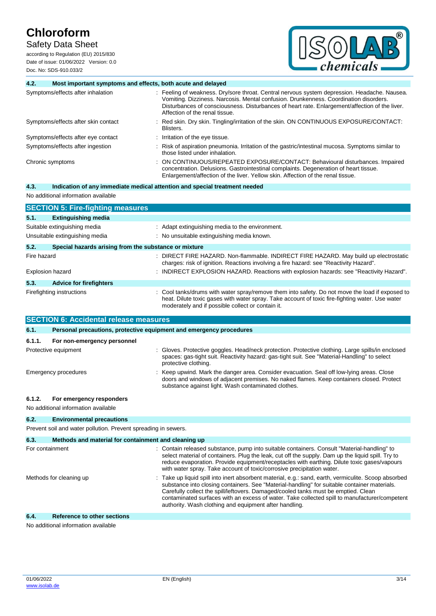Safety Data Sheet

according to Regulation (EU) 2015/830 Date of issue: 01/06/2022 Version: 0.0 Doc. No: SDS-910.033/2



| 4.2.        | Most important symptoms and effects, both acute and delayed         |                                                                                                                                                                                                                                                                                                                           |
|-------------|---------------------------------------------------------------------|---------------------------------------------------------------------------------------------------------------------------------------------------------------------------------------------------------------------------------------------------------------------------------------------------------------------------|
|             | Symptoms/effects after inhalation                                   | : Feeling of weakness. Dry/sore throat. Central nervous system depression. Headache. Nausea.<br>Vomiting. Dizziness. Narcosis. Mental confusion. Drunkenness. Coordination disorders.<br>Disturbances of consciousness. Disturbances of heart rate. Enlargement/affection of the liver.<br>Affection of the renal tissue. |
|             | Symptoms/effects after skin contact                                 | Red skin. Dry skin. Tingling/irritation of the skin. ON CONTINUOUS EXPOSURE/CONTACT:<br>Blisters.                                                                                                                                                                                                                         |
|             | Symptoms/effects after eye contact                                  | Irritation of the eye tissue.                                                                                                                                                                                                                                                                                             |
|             | Symptoms/effects after ingestion                                    | Risk of aspiration pneumonia. Irritation of the gastric/intestinal mucosa. Symptoms similar to<br>those listed under inhalation.                                                                                                                                                                                          |
|             | Chronic symptoms                                                    | ON CONTINUOUS/REPEATED EXPOSURE/CONTACT: Behavioural disturbances. Impaired<br>concentration. Delusions. Gastrointestinal complaints. Degeneration of heart tissue.<br>Enlargement/affection of the liver. Yellow skin. Affection of the renal tissue.                                                                    |
| 4.3.        |                                                                     | Indication of any immediate medical attention and special treatment needed                                                                                                                                                                                                                                                |
|             | No additional information available                                 |                                                                                                                                                                                                                                                                                                                           |
|             | <b>SECTION 5: Fire-fighting measures</b>                            |                                                                                                                                                                                                                                                                                                                           |
| 5.1.        | <b>Extinguishing media</b>                                          |                                                                                                                                                                                                                                                                                                                           |
|             | Suitable extinguishing media                                        | Adapt extinguishing media to the environment.                                                                                                                                                                                                                                                                             |
|             | Unsuitable extinguishing media                                      | : No unsuitable extinguishing media known.                                                                                                                                                                                                                                                                                |
| 5.2.        | Special hazards arising from the substance or mixture               |                                                                                                                                                                                                                                                                                                                           |
| Fire hazard |                                                                     | DIRECT FIRE HAZARD. Non-flammable. INDIRECT FIRE HAZARD. May build up electrostatic<br>charges: risk of ignition. Reactions involving a fire hazard: see "Reactivity Hazard".                                                                                                                                             |
|             | <b>Explosion hazard</b>                                             | INDIRECT EXPLOSION HAZARD. Reactions with explosion hazards: see "Reactivity Hazard".                                                                                                                                                                                                                                     |
| 5.3.        | <b>Advice for firefighters</b>                                      |                                                                                                                                                                                                                                                                                                                           |
|             | Firefighting instructions                                           | Cool tanks/drums with water spray/remove them into safety. Do not move the load if exposed to<br>heat. Dilute toxic gases with water spray. Take account of toxic fire-fighting water. Use water<br>moderately and if possible collect or contain it.                                                                     |
|             | <b>SECTION 6: Accidental release measures</b>                       |                                                                                                                                                                                                                                                                                                                           |
| 6.1.        | Personal precautions, protective equipment and emergency procedures |                                                                                                                                                                                                                                                                                                                           |

| For non-emergency personnel<br>6.1.1.                                     |                                                                                                                                                                                                                                              |
|---------------------------------------------------------------------------|----------------------------------------------------------------------------------------------------------------------------------------------------------------------------------------------------------------------------------------------|
| Protective equipment                                                      | : Gloves. Protective goggles. Head/neck protection. Protective clothing. Large spills/in enclosed<br>spaces: gas-tight suit. Reactivity hazard: gas-tight suit. See "Material-Handling" to select<br>protective clothing.                    |
| Emergency procedures                                                      | : Keep upwind. Mark the danger area. Consider evacuation. Seal off low-lying areas. Close<br>doors and windows of adjacent premises. No naked flames. Keep containers closed. Protect<br>substance against light. Wash contaminated clothes. |
| For emergency responders<br>6.1.2.<br>No additional information available |                                                                                                                                                                                                                                              |

## **6.2. Environmental precautions**

Prevent soil and water pollution. Prevent spreading in sewers.

| 6.3.<br>Methods and material for containment and cleaning up |                                                                                                                                                                                                                                                                                                                                                                                                                                                       |
|--------------------------------------------------------------|-------------------------------------------------------------------------------------------------------------------------------------------------------------------------------------------------------------------------------------------------------------------------------------------------------------------------------------------------------------------------------------------------------------------------------------------------------|
| For containment                                              | : Contain released substance, pump into suitable containers. Consult "Material-handling" to<br>select material of containers. Plug the leak, cut off the supply. Dam up the liquid spill. Try to<br>reduce evaporation. Provide equipment/receptacles with earthing. Dilute toxic gases/vapours<br>with water spray. Take account of toxic/corrosive precipitation water.                                                                             |
| Methods for cleaning up                                      | : Take up liquid spill into inert absorbent material, e.g.: sand, earth, vermiculite. Scoop absorbed<br>substance into closing containers. See "Material-handling" for suitable container materials.<br>Carefully collect the spill/leftovers. Damaged/cooled tanks must be emptied. Clean<br>contaminated surfaces with an excess of water. Take collected spill to manufacturer/competent<br>authority. Wash clothing and equipment after handling. |
| 6.4.<br><b>Reference to other sections</b>                   |                                                                                                                                                                                                                                                                                                                                                                                                                                                       |

No additional information available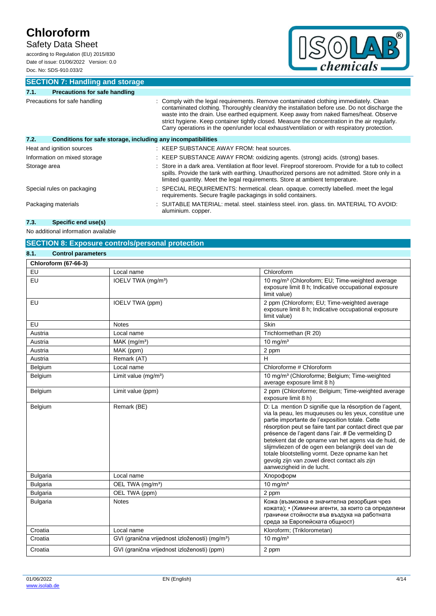## Safety Data Sheet

according to Regulation (EU) 2015/830 Date of issue: 01/06/2022 Version: 0.0 Doc. No: SDS-910.033/2



**SECTION 7: Handling and storage**

| 7.1.                          | <b>Precautions for safe handling</b>                         |                                                                                                                                                                                                                                                                                                                                                                                                                                                                                  |  |
|-------------------------------|--------------------------------------------------------------|----------------------------------------------------------------------------------------------------------------------------------------------------------------------------------------------------------------------------------------------------------------------------------------------------------------------------------------------------------------------------------------------------------------------------------------------------------------------------------|--|
| Precautions for safe handling |                                                              | Comply with the legal requirements. Remove contaminated clothing immediately. Clean<br>contaminated clothing. Thoroughly clean/dry the installation before use. Do not discharge the<br>waste into the drain. Use earthed equipment. Keep away from naked flames/heat. Observe<br>strict hygiene. Keep container tightly closed. Measure the concentration in the air regularly.<br>Carry operations in the open/under local exhaust/ventilation or with respiratory protection. |  |
| 7.2.                          | Conditions for safe storage, including any incompatibilities |                                                                                                                                                                                                                                                                                                                                                                                                                                                                                  |  |
|                               | Heat and ignition sources                                    | : KEEP SUBSTANCE AWAY FROM: heat sources.                                                                                                                                                                                                                                                                                                                                                                                                                                        |  |
|                               | Information on mixed storage                                 | : KEEP SUBSTANCE AWAY FROM: oxidizing agents. (strong) acids. (strong) bases.                                                                                                                                                                                                                                                                                                                                                                                                    |  |
| Storage area                  |                                                              | Store in a dark area. Ventilation at floor level. Fireproof storeroom. Provide for a tub to collect<br>spills. Provide the tank with earthing. Unauthorized persons are not admitted. Store only in a<br>limited quantity. Meet the legal requirements. Store at ambient temperature.                                                                                                                                                                                            |  |
|                               | Special rules on packaging                                   | : SPECIAL REQUIREMENTS: hermetical. clean. opaque. correctly labelled. meet the legal<br>requirements. Secure fragile packagings in solid containers.                                                                                                                                                                                                                                                                                                                            |  |
|                               | Packaging materials                                          | : SUITABLE MATERIAL: metal. steel. stainless steel. iron. glass. tin. MATERIAL TO AVOID:<br>aluminium. copper.                                                                                                                                                                                                                                                                                                                                                                   |  |

## **7.3. Specific end use(s)**

No additional information available

### **SECTION 8: Exposure controls/personal protection**

| 8.1.<br><b>Control parameters</b> |                                                            |                                                                                                                                                                                                                                                                                                                                                                                                                                                                                                                                    |
|-----------------------------------|------------------------------------------------------------|------------------------------------------------------------------------------------------------------------------------------------------------------------------------------------------------------------------------------------------------------------------------------------------------------------------------------------------------------------------------------------------------------------------------------------------------------------------------------------------------------------------------------------|
| <b>Chloroform (67-66-3)</b>       |                                                            |                                                                                                                                                                                                                                                                                                                                                                                                                                                                                                                                    |
| EU                                | Local name                                                 | Chloroform                                                                                                                                                                                                                                                                                                                                                                                                                                                                                                                         |
| EU                                | IOELV TWA (mg/m <sup>3</sup> )                             | 10 mg/m <sup>3</sup> (Chloroform; EU; Time-weighted average<br>exposure limit 8 h; Indicative occupational exposure<br>limit value)                                                                                                                                                                                                                                                                                                                                                                                                |
| <b>EU</b>                         | IOELV TWA (ppm)                                            | 2 ppm (Chloroform; EU; Time-weighted average<br>exposure limit 8 h; Indicative occupational exposure<br>limit value)                                                                                                                                                                                                                                                                                                                                                                                                               |
| EU                                | <b>Notes</b>                                               | Skin                                                                                                                                                                                                                                                                                                                                                                                                                                                                                                                               |
| Austria                           | Local name                                                 | Trichlormethan (R 20)                                                                                                                                                                                                                                                                                                                                                                                                                                                                                                              |
| Austria                           | $MAK$ (mg/m <sup>3</sup> )                                 | $10 \text{ mg/m}^3$                                                                                                                                                                                                                                                                                                                                                                                                                                                                                                                |
| Austria                           | MAK (ppm)                                                  | 2 ppm                                                                                                                                                                                                                                                                                                                                                                                                                                                                                                                              |
| Austria                           | Remark (AT)                                                | Н                                                                                                                                                                                                                                                                                                                                                                                                                                                                                                                                  |
| Belgium                           | Local name                                                 | Chloroforme # Chloroform                                                                                                                                                                                                                                                                                                                                                                                                                                                                                                           |
| Belgium                           | Limit value $(mg/m3)$                                      | 10 mg/m <sup>3</sup> (Chloroforme; Belgium; Time-weighted<br>average exposure limit 8 h)                                                                                                                                                                                                                                                                                                                                                                                                                                           |
| Belgium                           | Limit value (ppm)                                          | 2 ppm (Chloroforme; Belgium; Time-weighted average<br>exposure limit 8 h)                                                                                                                                                                                                                                                                                                                                                                                                                                                          |
| Belgium                           | Remark (BE)                                                | D: La mention D signifie que la résorption de l'agent,<br>via la peau, les muqueuses ou les yeux, constitue une<br>partie importante de l'exposition totale. Cette<br>résorption peut se faire tant par contact direct que par<br>présence de l'agent dans l'air. # De vermelding D<br>betekent dat de opname van het agens via de huid, de<br>slijmvliezen of de ogen een belangrijk deel van de<br>totale blootstelling vormt. Deze opname kan het<br>gevolg zijn van zowel direct contact als zijn<br>aanwezigheid in de lucht. |
| <b>Bulgaria</b>                   | Local name                                                 | Хлороформ                                                                                                                                                                                                                                                                                                                                                                                                                                                                                                                          |
| <b>Bulgaria</b>                   | OEL TWA (mg/m <sup>3</sup> )                               | $10$ mg/m <sup>3</sup>                                                                                                                                                                                                                                                                                                                                                                                                                                                                                                             |
| <b>Bulgaria</b>                   | OEL TWA (ppm)                                              | 2 ppm                                                                                                                                                                                                                                                                                                                                                                                                                                                                                                                              |
| <b>Bulgaria</b>                   | <b>Notes</b>                                               | Кожа (възможна е значителна резорбция чрез<br>кожата); • (Химични агенти, за които са определени<br>гранични стойности във въздуха на работната<br>среда за Европейската общност)                                                                                                                                                                                                                                                                                                                                                  |
| Croatia                           | Local name                                                 | Kloroform; (Triklorometan)                                                                                                                                                                                                                                                                                                                                                                                                                                                                                                         |
| Croatia                           | GVI (granična vrijednost izloženosti) (mg/m <sup>3</sup> ) | 10 mg/ $m3$                                                                                                                                                                                                                                                                                                                                                                                                                                                                                                                        |
| Croatia                           | GVI (granična vrijednost izloženosti) (ppm)                | 2 ppm                                                                                                                                                                                                                                                                                                                                                                                                                                                                                                                              |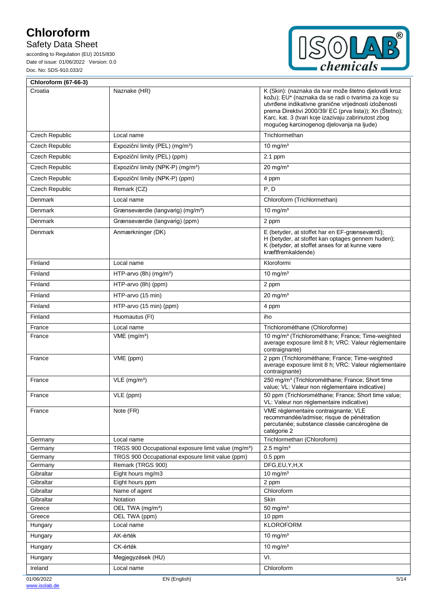## Safety Data Sheet



| <b>Chloroform (67-66-3)</b> |                                                                       |                                                                                                                                                                                                                                                                                                                                      |
|-----------------------------|-----------------------------------------------------------------------|--------------------------------------------------------------------------------------------------------------------------------------------------------------------------------------------------------------------------------------------------------------------------------------------------------------------------------------|
| Croatia                     | Naznake (HR)                                                          | K (Skin): (naznaka da tvar može štetno djelovati kroz<br>kožu); EU* (naznaka da se radi o tvarima za koje su<br>utvrđene indikativne granične vrijednosti izloženosti<br>prema Direktivi 2000/39/ EC (prva lista)); Xn (Štetno);<br>Karc. kat. 3 (tvari koje izazivaju zabrinutost zbog<br>mogućeg karcinogenog djelovanja na ljude) |
| Czech Republic              | Local name                                                            | Trichlormethan                                                                                                                                                                                                                                                                                                                       |
| <b>Czech Republic</b>       | Expoziční limity (PEL) (mg/m <sup>3</sup> )                           | 10 mg/ $m3$                                                                                                                                                                                                                                                                                                                          |
| <b>Czech Republic</b>       | Expoziční limity (PEL) (ppm)                                          | 2.1 ppm                                                                                                                                                                                                                                                                                                                              |
| <b>Czech Republic</b>       | Expoziční limity (NPK-P) (mg/m <sup>3</sup> )                         | $20 \text{ mg/m}^3$                                                                                                                                                                                                                                                                                                                  |
| Czech Republic              | Expoziční limity (NPK-P) (ppm)                                        | 4 ppm                                                                                                                                                                                                                                                                                                                                |
| Czech Republic              | Remark (CZ)                                                           | P, D                                                                                                                                                                                                                                                                                                                                 |
| Denmark                     | Local name                                                            | Chloroform (Trichlormethan)                                                                                                                                                                                                                                                                                                          |
| Denmark                     | Grænseværdie (langvarig) (mg/m <sup>3</sup> )                         | 10 mg/ $m3$                                                                                                                                                                                                                                                                                                                          |
| Denmark                     | Grænseværdie (langvarig) (ppm)                                        | 2 ppm                                                                                                                                                                                                                                                                                                                                |
| Denmark                     | Anmærkninger (DK)                                                     | E (betyder, at stoffet har en EF-grænseværdi);                                                                                                                                                                                                                                                                                       |
|                             |                                                                       | H (betyder, at stoffet kan optages gennem huden);<br>K (betyder, at stoffet anses for at kunne være<br>kræftfremkaldende)                                                                                                                                                                                                            |
| Finland                     | Local name                                                            | Kloroformi                                                                                                                                                                                                                                                                                                                           |
| Finland                     | HTP-arvo $(8h)$ (mg/m <sup>3</sup> )                                  | 10 mg/ $m3$                                                                                                                                                                                                                                                                                                                          |
| Finland                     | HTP-arvo (8h) (ppm)                                                   | 2 ppm                                                                                                                                                                                                                                                                                                                                |
| Finland                     | HTP-arvo (15 min)                                                     | $20 \text{ mg/m}^3$                                                                                                                                                                                                                                                                                                                  |
| Finland                     | HTP-arvo (15 min) (ppm)                                               | 4 ppm                                                                                                                                                                                                                                                                                                                                |
| Finland                     | Huomautus (FI)                                                        | iho                                                                                                                                                                                                                                                                                                                                  |
| France                      | Local name                                                            | Trichlorométhane (Chloroforme)                                                                                                                                                                                                                                                                                                       |
| France                      | $VME$ (mg/m <sup>3</sup> )                                            | 10 mg/m <sup>3</sup> (Trichlorométhane; France; Time-weighted<br>average exposure limit 8 h; VRC: Valeur réglementaire<br>contraignante)                                                                                                                                                                                             |
| France                      | VME (ppm)                                                             | 2 ppm (Trichlorométhane; France; Time-weighted<br>average exposure limit 8 h; VRC: Valeur réglementaire<br>contraignante)                                                                                                                                                                                                            |
| France                      | $VLE$ (mg/m <sup>3</sup> )                                            | 250 mg/m <sup>3</sup> (Trichlorométhane; France; Short time<br>value; VL: Valeur non réglementaire indicative)                                                                                                                                                                                                                       |
| France                      | VLE (ppm)                                                             | 50 ppm (Trichlorométhane; France; Short time value;<br>VL: Valeur non réglementaire indicative)                                                                                                                                                                                                                                      |
| France                      | Note (FR)                                                             | VME règlementaire contraignante; VLE<br>recommandée/admise; risque de pénétration<br>percutanée; substance classée cancérogène de<br>catégorie 2                                                                                                                                                                                     |
| Germany                     | Local name                                                            | Trichlormethan (Chloroform)                                                                                                                                                                                                                                                                                                          |
| Germany                     | TRGS 900 Occupational exposure limit value (mg/m <sup>3</sup> )       | $2.5$ mg/m <sup>3</sup><br>$0.5$ ppm                                                                                                                                                                                                                                                                                                 |
| Germany<br>Germany          | TRGS 900 Occupational exposure limit value (ppm)<br>Remark (TRGS 900) | DFG,EU,Y,H,X                                                                                                                                                                                                                                                                                                                         |
| Gibraltar                   | Eight hours mg/m3                                                     | 10 mg/ $m3$                                                                                                                                                                                                                                                                                                                          |
| Gibraltar                   | Eight hours ppm                                                       | 2 ppm                                                                                                                                                                                                                                                                                                                                |
| Gibraltar                   | Name of agent                                                         | Chloroform                                                                                                                                                                                                                                                                                                                           |
| Gibraltar                   | Notation                                                              | Skin                                                                                                                                                                                                                                                                                                                                 |
| Greece                      | OEL TWA (mg/m <sup>3</sup> )                                          | 50 mg/ $m3$                                                                                                                                                                                                                                                                                                                          |
| Greece<br>Hungary           | OEL TWA (ppm)<br>Local name                                           | 10 ppm<br><b>KLOROFORM</b>                                                                                                                                                                                                                                                                                                           |
| Hungary                     | AK-érték                                                              | 10 mg/m <sup>3</sup>                                                                                                                                                                                                                                                                                                                 |
|                             | CK-érték                                                              | $10 \text{ mg/m}^3$                                                                                                                                                                                                                                                                                                                  |
| Hungary                     |                                                                       | VI.                                                                                                                                                                                                                                                                                                                                  |
| Hungary                     | Megjegyzések (HU)                                                     |                                                                                                                                                                                                                                                                                                                                      |
| Ireland                     | Local name                                                            | Chloroform                                                                                                                                                                                                                                                                                                                           |
| 01/06/2022                  | EN (English)                                                          | 5/14                                                                                                                                                                                                                                                                                                                                 |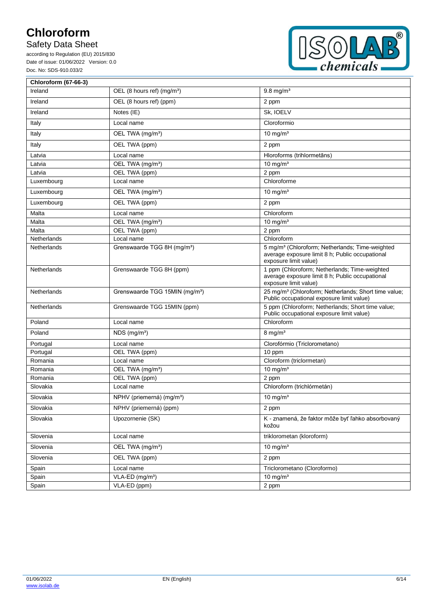## Safety Data Sheet



| <b>Chloroform (67-66-3)</b> |                                            |                                                                                                                                         |
|-----------------------------|--------------------------------------------|-----------------------------------------------------------------------------------------------------------------------------------------|
| Ireland                     | OEL (8 hours ref) (mg/m <sup>3</sup> )     | $9.8$ mg/m <sup>3</sup>                                                                                                                 |
| Ireland                     | OEL (8 hours ref) (ppm)                    | 2 ppm                                                                                                                                   |
| Ireland                     | Notes (IE)                                 | Sk, IOELV                                                                                                                               |
| Italy                       | Local name                                 | Cloroformio                                                                                                                             |
| Italy                       | OEL TWA (mg/m <sup>3</sup> )               | 10 mg/ $m3$                                                                                                                             |
| Italy                       | OEL TWA (ppm)                              | 2 ppm                                                                                                                                   |
| Latvia                      | Local name                                 | Hloroforms (trihlormetāns)                                                                                                              |
| Latvia                      | OEL TWA (mg/m <sup>3</sup> )               | 10 mg/ $m3$                                                                                                                             |
| Latvia                      | OEL TWA (ppm)                              | 2 ppm                                                                                                                                   |
| Luxembourg                  | Local name                                 | Chloroforme                                                                                                                             |
| Luxembourg                  | OEL TWA (mg/m <sup>3</sup> )               | 10 mg/ $m3$                                                                                                                             |
| Luxembourg                  | OEL TWA (ppm)                              | 2 ppm                                                                                                                                   |
| Malta                       | Local name                                 | Chloroform                                                                                                                              |
| Malta                       | OEL TWA (mg/m <sup>3</sup> )               | 10 mg/ $m3$                                                                                                                             |
| Malta                       | OEL TWA (ppm)                              | 2 ppm                                                                                                                                   |
| Netherlands                 | Local name                                 | Chloroform                                                                                                                              |
| Netherlands                 | Grenswaarde TGG 8H (mg/m <sup>3</sup> )    | 5 mg/m <sup>3</sup> (Chloroform; Netherlands; Time-weighted<br>average exposure limit 8 h; Public occupational<br>exposure limit value) |
| Netherlands                 | Grenswaarde TGG 8H (ppm)                   | 1 ppm (Chloroform; Netherlands; Time-weighted<br>average exposure limit 8 h; Public occupational<br>exposure limit value)               |
| Netherlands                 | Grenswaarde TGG 15MIN (mg/m <sup>3</sup> ) | 25 mg/m <sup>3</sup> (Chloroform; Netherlands; Short time value;<br>Public occupational exposure limit value)                           |
| Netherlands                 | Grenswaarde TGG 15MIN (ppm)                | 5 ppm (Chloroform; Netherlands; Short time value;<br>Public occupational exposure limit value)                                          |
| Poland                      | Local name                                 | Chloroform                                                                                                                              |
| Poland                      | $NDS$ (mg/m <sup>3</sup> )                 | $8 \text{ mg/m}^3$                                                                                                                      |
| Portugal                    | Local name                                 | Clorofórmio (Triclorometano)                                                                                                            |
| Portugal                    | OEL TWA (ppm)                              | 10 ppm                                                                                                                                  |
| Romania                     | Local name                                 | Cloroform (triclormetan)                                                                                                                |
| Romania                     | OEL TWA (mg/m <sup>3</sup> )               | 10 mg/ $m3$                                                                                                                             |
| Romania                     | OEL TWA (ppm)                              | 2 ppm                                                                                                                                   |
| Slovakia                    | Local name                                 | Chloroform (trichlórmetán)                                                                                                              |
| Slovakia                    | NPHV (priemerná) (mg/m <sup>3</sup> )      | $10$ mg/m <sup>3</sup>                                                                                                                  |
| Slovakia                    | NPHV (priemerná) (ppm)                     | 2 ppm                                                                                                                                   |
| Slovakia                    | Upozornenie (SK)                           | K - znamená, že faktor môže byť ľahko absorbovaný<br>kožou                                                                              |
| Slovenia                    | Local name                                 | triklorometan (kloroform)                                                                                                               |
| Slovenia                    | OEL TWA (mg/m <sup>3</sup> )               | 10 mg/ $m3$                                                                                                                             |
| Slovenia                    | OEL TWA (ppm)                              | 2 ppm                                                                                                                                   |
| Spain                       | Local name                                 | Triclorometano (Cloroformo)                                                                                                             |
| Spain                       | VLA-ED (mg/m <sup>3</sup> )                | 10 mg/ $m3$                                                                                                                             |
| Spain                       | VLA-ED (ppm)                               | 2 ppm                                                                                                                                   |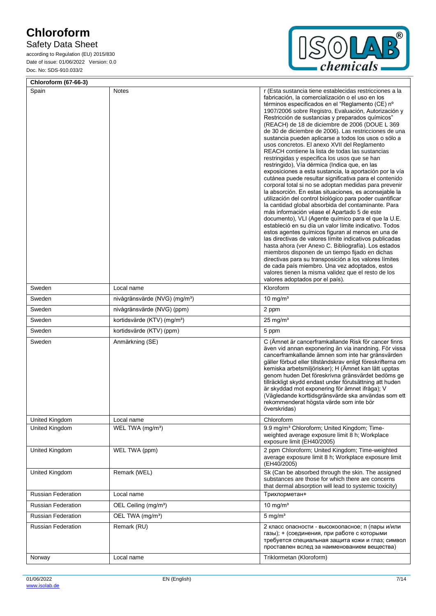## Safety Data Sheet



| <b>Chloroform (67-66-3)</b> |                                           |                                                                                                                                                                                                                                                                                                                                                                                                                                                                                                                                                                                                                                                                                                                                                                                                                                                                                                                                                                                                                                                                                                                                                                                                                                                                                                                                                                                                                                                                                                                                                                                                                |  |
|-----------------------------|-------------------------------------------|----------------------------------------------------------------------------------------------------------------------------------------------------------------------------------------------------------------------------------------------------------------------------------------------------------------------------------------------------------------------------------------------------------------------------------------------------------------------------------------------------------------------------------------------------------------------------------------------------------------------------------------------------------------------------------------------------------------------------------------------------------------------------------------------------------------------------------------------------------------------------------------------------------------------------------------------------------------------------------------------------------------------------------------------------------------------------------------------------------------------------------------------------------------------------------------------------------------------------------------------------------------------------------------------------------------------------------------------------------------------------------------------------------------------------------------------------------------------------------------------------------------------------------------------------------------------------------------------------------------|--|
| Spain                       | Notes                                     | r (Esta sustancia tiene establecidas restricciones a la<br>fabricación, la comercialización o el uso en los<br>términos especificados en el "Reglamento (CE) nº<br>1907/2006 sobre Registro, Evaluación, Autorización y<br>Restricción de sustancias y preparados químicos"<br>(REACH) de 18 de diciembre de 2006 (DOUE L 369<br>de 30 de diciembre de 2006). Las restricciones de una<br>sustancia pueden aplicarse a todos los usos o sólo a<br>usos concretos. El anexo XVII del Reglamento<br>REACH contiene la lista de todas las sustancias<br>restringidas y especifica los usos que se han<br>restringido), Vía dérmica (Indica que, en las<br>exposiciones a esta sustancia, la aportación por la vía<br>cutánea puede resultar significativa para el contenido<br>corporal total si no se adoptan medidas para prevenir<br>la absorción. En estas situaciones, es aconsejable la<br>utilización del control biológico para poder cuantificar<br>la cantidad global absorbida del contaminante. Para<br>más información véase el Apartado 5 de este<br>documento), VLI (Agente químico para el que la U.E.<br>estableció en su día un valor límite indicativo. Todos<br>estos agentes químicos figuran al menos en una de<br>las directivas de valores límite indicativos publicadas<br>hasta ahora (ver Anexo C. Bibliografía). Los estados<br>miembros disponen de un tiempo fijado en dichas<br>directivas para su transposición a los valores límites<br>de cada país miembro. Una vez adoptados, estos<br>valores tienen la misma validez que el resto de los<br>valores adoptados por el país). |  |
| Sweden                      | Local name                                | Kloroform                                                                                                                                                                                                                                                                                                                                                                                                                                                                                                                                                                                                                                                                                                                                                                                                                                                                                                                                                                                                                                                                                                                                                                                                                                                                                                                                                                                                                                                                                                                                                                                                      |  |
| Sweden                      | nivågränsvärde (NVG) (mg/m <sup>3</sup> ) | 10 mg/ $m3$                                                                                                                                                                                                                                                                                                                                                                                                                                                                                                                                                                                                                                                                                                                                                                                                                                                                                                                                                                                                                                                                                                                                                                                                                                                                                                                                                                                                                                                                                                                                                                                                    |  |
| Sweden                      | nivågränsvärde (NVG) (ppm)                | 2 ppm                                                                                                                                                                                                                                                                                                                                                                                                                                                                                                                                                                                                                                                                                                                                                                                                                                                                                                                                                                                                                                                                                                                                                                                                                                                                                                                                                                                                                                                                                                                                                                                                          |  |
| Sweden                      | kortidsvärde (KTV) (mg/m <sup>3</sup> )   | $25 \text{ mg/m}^3$                                                                                                                                                                                                                                                                                                                                                                                                                                                                                                                                                                                                                                                                                                                                                                                                                                                                                                                                                                                                                                                                                                                                                                                                                                                                                                                                                                                                                                                                                                                                                                                            |  |
| Sweden                      | kortidsvärde (KTV) (ppm)                  | 5 ppm                                                                                                                                                                                                                                                                                                                                                                                                                                                                                                                                                                                                                                                                                                                                                                                                                                                                                                                                                                                                                                                                                                                                                                                                                                                                                                                                                                                                                                                                                                                                                                                                          |  |
| Sweden                      | Anmärkning (SE)                           | C (Ämnet är cancerframkallande Risk för cancer finns<br>även vid annan exponering än via inandning. För vissa<br>cancerframkallande ämnen som inte har gränsvärden<br>gäller förbud eller tillståndskrav enligt föreskrifterna om<br>kemiska arbetsmiljörisker); H (Ämnet kan lätt upptas<br>genom huden Det föreskrivna gränsvärdet bedöms ge<br>tillräckligt skydd endast under förutsättning att huden<br>är skyddad mot exponering för ämnet ifråga); V<br>(Vägledande korttidsgränsvärde ska användas som ett<br>rekommenderat högsta värde som inte bör<br>överskridas)                                                                                                                                                                                                                                                                                                                                                                                                                                                                                                                                                                                                                                                                                                                                                                                                                                                                                                                                                                                                                                  |  |
| United Kingdom              | Local name                                | Chloroform                                                                                                                                                                                                                                                                                                                                                                                                                                                                                                                                                                                                                                                                                                                                                                                                                                                                                                                                                                                                                                                                                                                                                                                                                                                                                                                                                                                                                                                                                                                                                                                                     |  |
| United Kingdom              | WEL TWA (mg/m <sup>3</sup> )              | 9.9 mg/m <sup>3</sup> Chloroform; United Kingdom; Time-<br>weighted average exposure limit 8 h; Workplace<br>exposure limit (EH40/2005)                                                                                                                                                                                                                                                                                                                                                                                                                                                                                                                                                                                                                                                                                                                                                                                                                                                                                                                                                                                                                                                                                                                                                                                                                                                                                                                                                                                                                                                                        |  |
| United Kingdom              | WEL TWA (ppm)                             | 2 ppm Chloroform; United Kingdom; Time-weighted<br>average exposure limit 8 h; Workplace exposure limit<br>(EH40/2005)                                                                                                                                                                                                                                                                                                                                                                                                                                                                                                                                                                                                                                                                                                                                                                                                                                                                                                                                                                                                                                                                                                                                                                                                                                                                                                                                                                                                                                                                                         |  |
| United Kingdom              | Remark (WEL)                              | Sk (Can be absorbed through the skin. The assigned<br>substances are those for which there are concerns<br>that dermal absorption will lead to systemic toxicity)                                                                                                                                                                                                                                                                                                                                                                                                                                                                                                                                                                                                                                                                                                                                                                                                                                                                                                                                                                                                                                                                                                                                                                                                                                                                                                                                                                                                                                              |  |
| <b>Russian Federation</b>   | Local name                                | Трихлорметан+                                                                                                                                                                                                                                                                                                                                                                                                                                                                                                                                                                                                                                                                                                                                                                                                                                                                                                                                                                                                                                                                                                                                                                                                                                                                                                                                                                                                                                                                                                                                                                                                  |  |
| <b>Russian Federation</b>   | OEL Ceiling (mg/m <sup>3</sup> )          | 10 mg/ $m3$                                                                                                                                                                                                                                                                                                                                                                                                                                                                                                                                                                                                                                                                                                                                                                                                                                                                                                                                                                                                                                                                                                                                                                                                                                                                                                                                                                                                                                                                                                                                                                                                    |  |
| <b>Russian Federation</b>   | OEL TWA (mg/m <sup>3</sup> )              | $5$ mg/m <sup>3</sup>                                                                                                                                                                                                                                                                                                                                                                                                                                                                                                                                                                                                                                                                                                                                                                                                                                                                                                                                                                                                                                                                                                                                                                                                                                                                                                                                                                                                                                                                                                                                                                                          |  |
| Russian Federation          | Remark (RU)                               | 2 класс опасности - высокоопасное; п (пары и/или<br>газы); + (соединения, при работе с которыми<br>требуется специальная защита кожи и глаз; символ<br>проставлен вслед за наименованием вещества)                                                                                                                                                                                                                                                                                                                                                                                                                                                                                                                                                                                                                                                                                                                                                                                                                                                                                                                                                                                                                                                                                                                                                                                                                                                                                                                                                                                                             |  |
| Norway                      | Local name                                | Triklormetan (Kloroform)                                                                                                                                                                                                                                                                                                                                                                                                                                                                                                                                                                                                                                                                                                                                                                                                                                                                                                                                                                                                                                                                                                                                                                                                                                                                                                                                                                                                                                                                                                                                                                                       |  |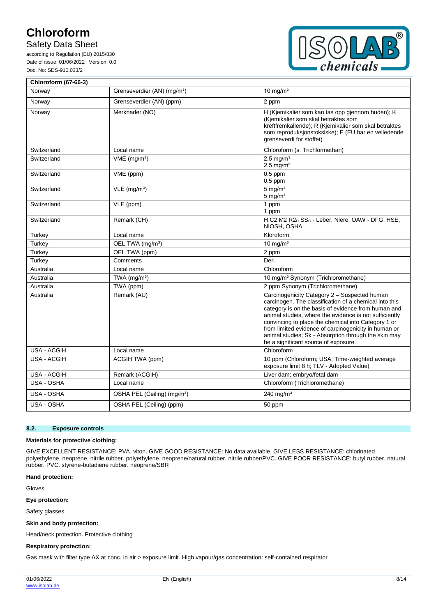## Safety Data Sheet

according to Regulation (EU) 2015/830 Date of issue: 01/06/2022 Version: 0.0 Doc. No: SDS-910.033/2



| <b>Chloroform (67-66-3)</b> |                                         |                                                                                                                                                                                                                                                                                                                                                                                                                                        |
|-----------------------------|-----------------------------------------|----------------------------------------------------------------------------------------------------------------------------------------------------------------------------------------------------------------------------------------------------------------------------------------------------------------------------------------------------------------------------------------------------------------------------------------|
| Norway                      | Grenseverdier (AN) (mg/m <sup>3</sup> ) | $10 \text{ mg/m}^3$                                                                                                                                                                                                                                                                                                                                                                                                                    |
| Norway                      | Grenseverdier (AN) (ppm)                | 2 ppm                                                                                                                                                                                                                                                                                                                                                                                                                                  |
| Norway                      | Merknader (NO)                          | H (Kjemikalier som kan tas opp gjennom huden); K<br>(Kjemikalier som skal betraktes som<br>kreftfremkallende); R (Kjemikalier som skal betraktes<br>som reproduksjonstoksiske); E (EU har en veiledende<br>grenseverdi for stoffet)                                                                                                                                                                                                    |
| Switzerland                 | Local name                              | Chloroform (s. Trichlormethan)                                                                                                                                                                                                                                                                                                                                                                                                         |
| Switzerland                 | $VME$ (mg/m <sup>3</sup> )              | $2.5$ mg/m <sup>3</sup><br>$2.5$ mg/m <sup>3</sup>                                                                                                                                                                                                                                                                                                                                                                                     |
| Switzerland                 | VME (ppm)                               | $0.5$ ppm<br>$0.5$ ppm                                                                                                                                                                                                                                                                                                                                                                                                                 |
| Switzerland                 | $VLE$ (mg/m <sup>3</sup> )              | $5$ mg/m <sup>3</sup><br>$5 \text{ mg/m}^3$                                                                                                                                                                                                                                                                                                                                                                                            |
| Switzerland                 | VLE (ppm)                               | 1 ppm<br>1 ppm                                                                                                                                                                                                                                                                                                                                                                                                                         |
| Switzerland                 | Remark (CH)                             | H C2 M2 R2 <sub>D</sub> SS <sub>C</sub> - Leber, Niere, OAW - DFG, HSE,<br>NIOSH, OSHA                                                                                                                                                                                                                                                                                                                                                 |
| Turkey                      | Local name                              | Kloroform                                                                                                                                                                                                                                                                                                                                                                                                                              |
| Turkey                      | OEL TWA (mg/m <sup>3</sup> )            | 10 mg/ $m3$                                                                                                                                                                                                                                                                                                                                                                                                                            |
| Turkey                      | OEL TWA (ppm)                           | 2 ppm                                                                                                                                                                                                                                                                                                                                                                                                                                  |
| Turkey                      | Comments                                | Deri                                                                                                                                                                                                                                                                                                                                                                                                                                   |
| Australia                   | Local name                              | Chloroform                                                                                                                                                                                                                                                                                                                                                                                                                             |
| Australia                   | TWA $(mg/m3)$                           | 10 mg/m <sup>3</sup> Synonym (Trichloromethane)                                                                                                                                                                                                                                                                                                                                                                                        |
| Australia                   | TWA (ppm)                               | 2 ppm Synonym (Trichloromethane)                                                                                                                                                                                                                                                                                                                                                                                                       |
| Australia                   | Remark (AU)                             | Carcinogenicity Category 2 - Suspected human<br>carcinogen. The classification of a chemical into this<br>category is on the basis of evidence from human and<br>animal studies, where the evidence is not sufficiently<br>convincing to place the chemical into Category 1 or<br>from limited evidence of carcinogenicity in human or<br>animal studies; Sk - Absorption through the skin may<br>be a significant source of exposure. |
| <b>USA - ACGIH</b>          | Local name                              | Chloroform                                                                                                                                                                                                                                                                                                                                                                                                                             |
| USA - ACGIH                 | ACGIH TWA (ppm)                         | 10 ppm (Chloroform; USA; Time-weighted average<br>exposure limit 8 h; TLV - Adopted Value)                                                                                                                                                                                                                                                                                                                                             |
| USA - ACGIH                 | Remark (ACGIH)                          | Liver dam; embryo/fetal dam                                                                                                                                                                                                                                                                                                                                                                                                            |
| USA - OSHA                  | Local name                              | Chloroform (Trichloromethane)                                                                                                                                                                                                                                                                                                                                                                                                          |
| USA - OSHA                  | OSHA PEL (Ceiling) (mg/m <sup>3</sup> ) | 240 mg/ $m3$                                                                                                                                                                                                                                                                                                                                                                                                                           |
| USA - OSHA                  | OSHA PEL (Ceiling) (ppm)                | 50 ppm                                                                                                                                                                                                                                                                                                                                                                                                                                 |

#### **8.2. Exposure controls**

#### **Materials for protective clothing:**

GIVE EXCELLENT RESISTANCE: PVA. viton. GIVE GOOD RESISTANCE: No data available. GIVE LESS RESISTANCE: chlorinated polyethylene. neoprene. nitrile rubber. polyethylene. neoprene/natural rubber. nitrile rubber/PVC. GIVE POOR RESISTANCE: butyl rubber. natural rubber. PVC. styrene-butadiene rubber. neoprene/SBR

#### **Hand protection:**

Gloves

### **Eye protection:**

Safety glasses

#### **Skin and body protection:**

Head/neck protection. Protective clothing

#### **Respiratory protection:**

Gas mask with filter type AX at conc. in air > exposure limit. High vapour/gas concentration: self-contained respirator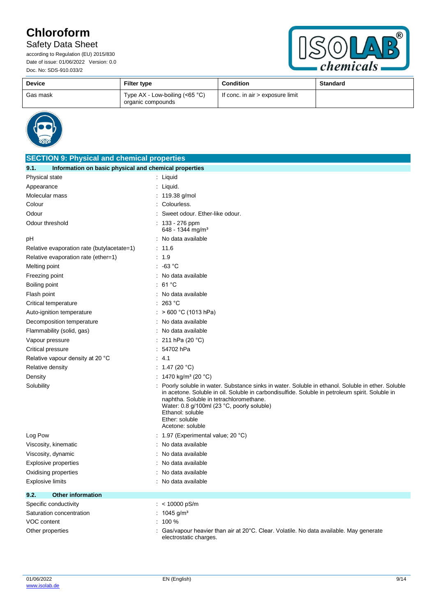## Safety Data Sheet



| <b>Device</b> | Filter type                                           | <b>Condition</b>                 | <b>Standard</b> |
|---------------|-------------------------------------------------------|----------------------------------|-----------------|
| Gas mask      | Type $AX - Low-boiling (<65 °C)$<br>organic compounds | If conc. in air > exposure limit |                 |



| <b>SECTION 9: Physical and chemical properties</b>            |                                                                                                                                                                                                                                                                                                                                                        |  |
|---------------------------------------------------------------|--------------------------------------------------------------------------------------------------------------------------------------------------------------------------------------------------------------------------------------------------------------------------------------------------------------------------------------------------------|--|
| Information on basic physical and chemical properties<br>9.1. |                                                                                                                                                                                                                                                                                                                                                        |  |
| Physical state                                                | : Liquid                                                                                                                                                                                                                                                                                                                                               |  |
| Appearance                                                    | $:$ Liquid.                                                                                                                                                                                                                                                                                                                                            |  |
| Molecular mass                                                | : $119.38$ g/mol                                                                                                                                                                                                                                                                                                                                       |  |
| Colour                                                        | Colourless.                                                                                                                                                                                                                                                                                                                                            |  |
| Odour                                                         | Sweet odour. Ether-like odour.                                                                                                                                                                                                                                                                                                                         |  |
| Odour threshold                                               | : 133 - 276 ppm<br>648 - 1344 mg/m <sup>3</sup>                                                                                                                                                                                                                                                                                                        |  |
| рH                                                            | No data available                                                                                                                                                                                                                                                                                                                                      |  |
| Relative evaporation rate (butylacetate=1)                    | : 11.6                                                                                                                                                                                                                                                                                                                                                 |  |
| Relative evaporation rate (ether=1)                           | : 1.9                                                                                                                                                                                                                                                                                                                                                  |  |
| Melting point                                                 | $: -63 °C$                                                                                                                                                                                                                                                                                                                                             |  |
| Freezing point                                                | : No data available                                                                                                                                                                                                                                                                                                                                    |  |
| Boiling point                                                 | :61°C                                                                                                                                                                                                                                                                                                                                                  |  |
| Flash point                                                   | No data available                                                                                                                                                                                                                                                                                                                                      |  |
| Critical temperature                                          | 263 °C                                                                                                                                                                                                                                                                                                                                                 |  |
| Auto-ignition temperature                                     | > 600 °C (1013 hPa)                                                                                                                                                                                                                                                                                                                                    |  |
| Decomposition temperature                                     | No data available<br>÷                                                                                                                                                                                                                                                                                                                                 |  |
| Flammability (solid, gas)                                     | : No data available                                                                                                                                                                                                                                                                                                                                    |  |
| Vapour pressure                                               | 211 hPa (20 °C)                                                                                                                                                                                                                                                                                                                                        |  |
| Critical pressure                                             | 54702 hPa                                                                                                                                                                                                                                                                                                                                              |  |
| Relative vapour density at 20 °C                              | 4.1                                                                                                                                                                                                                                                                                                                                                    |  |
| Relative density                                              | : 1.47 (20 °C)                                                                                                                                                                                                                                                                                                                                         |  |
| Density                                                       | : 1470 kg/m <sup>3</sup> (20 °C)                                                                                                                                                                                                                                                                                                                       |  |
| Solubility                                                    | Poorly soluble in water. Substance sinks in water. Soluble in ethanol. Soluble in ether. Soluble<br>in acetone. Soluble in oil. Soluble in carbondisulfide. Soluble in petroleum spirit. Soluble in<br>naphtha. Soluble in tetrachloromethane.<br>Water: 0.8 g/100ml (23 °C, poorly soluble)<br>Ethanol: soluble<br>Ether: soluble<br>Acetone: soluble |  |
| Log Pow                                                       | 1.97 (Experimental value; 20 °C)                                                                                                                                                                                                                                                                                                                       |  |
| Viscosity, kinematic                                          | No data available                                                                                                                                                                                                                                                                                                                                      |  |
| Viscosity, dynamic                                            | No data available                                                                                                                                                                                                                                                                                                                                      |  |
| Explosive properties                                          | No data available                                                                                                                                                                                                                                                                                                                                      |  |
| Oxidising properties                                          | No data available                                                                                                                                                                                                                                                                                                                                      |  |
| Explosive limits                                              | : No data available                                                                                                                                                                                                                                                                                                                                    |  |
| 9.2.<br><b>Other information</b>                              |                                                                                                                                                                                                                                                                                                                                                        |  |
| Specific conductivity                                         | : < $10000$ pS/m                                                                                                                                                                                                                                                                                                                                       |  |
| Saturation concentration                                      | : $1045$ g/m <sup>3</sup>                                                                                                                                                                                                                                                                                                                              |  |
| <b>VOC content</b>                                            | $: 100 \%$                                                                                                                                                                                                                                                                                                                                             |  |
| Other properties                                              | Gas/vapour heavier than air at 20°C. Clear. Volatile. No data available. May generate<br>electrostatic charges.                                                                                                                                                                                                                                        |  |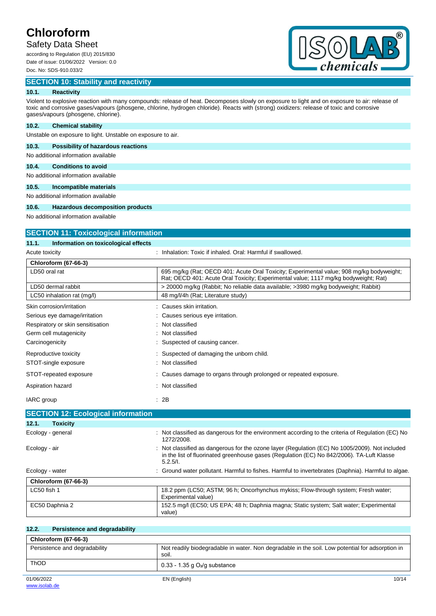## Safety Data Sheet

according to Regulation (EU) 2015/830 Date of issue: 01/06/2022 Version: 0.0 Doc. No: SDS-910.033/2

### **SECTION 10: Stability and reactivity**



### **10.1. Reactivity**

Violent to explosive reaction with many compounds: release of heat. Decomposes slowly on exposure to light and on exposure to air: release of toxic and corrosive gases/vapours (phosgene, chlorine, hydrogen chloride). Reacts with (strong) oxidizers: release of toxic and corrosive gases/vapours (phosgene, chlorine).

### **10.2. Chemical stability**

Unstable on exposure to light. Unstable on exposure to air.

### **10.3. Possibility of hazardous reactions**

No additional information available

### **10.4. Conditions to avoid**

No additional information available

#### **10.5. Incompatible materials**

No additional information available

#### **10.6. Hazardous decomposition products**

No additional information available

**SECTION 11: Toxicological information**

| <b>SECTION TT. TOXICOlOGICAL INTOITIATION</b> |                                                                                                                                                                                                       |
|-----------------------------------------------|-------------------------------------------------------------------------------------------------------------------------------------------------------------------------------------------------------|
| 11.1.<br>Information on toxicological effects |                                                                                                                                                                                                       |
| Acute toxicity                                | : Inhalation: Toxic if inhaled. Oral: Harmful if swallowed.                                                                                                                                           |
| <b>Chloroform (67-66-3)</b>                   |                                                                                                                                                                                                       |
| LD50 oral rat                                 | 695 mg/kg (Rat: OECD 401: Acute Oral Toxicity: Experimental value: 908 mg/kg bodyweight:<br>Rat; OECD 401: Acute Oral Toxicity; Experimental value; 1117 mg/kg bodyweight; Rat)                       |
| LD50 dermal rabbit                            | > 20000 mg/kg (Rabbit; No reliable data available; >3980 mg/kg bodyweight; Rabbit)                                                                                                                    |
| LC50 inhalation rat (mg/l)                    | 48 mg/l/4h (Rat; Literature study)                                                                                                                                                                    |
| Skin corrosion/irritation                     | : Causes skin irritation.                                                                                                                                                                             |
| Serious eye damage/irritation                 | : Causes serious eye irritation.                                                                                                                                                                      |
| Respiratory or skin sensitisation             | Not classified                                                                                                                                                                                        |
| Germ cell mutagenicity                        | : Not classified                                                                                                                                                                                      |
| Carcinogenicity                               | : Suspected of causing cancer.                                                                                                                                                                        |
| Reproductive toxicity                         | Suspected of damaging the unborn child.                                                                                                                                                               |
| STOT-single exposure                          | : Not classified                                                                                                                                                                                      |
| STOT-repeated exposure                        | : Causes damage to organs through prolonged or repeated exposure.                                                                                                                                     |
| Aspiration hazard                             | : Not classified                                                                                                                                                                                      |
| IARC group                                    | : 2B                                                                                                                                                                                                  |
| <b>SECTION 12: Ecological information</b>     |                                                                                                                                                                                                       |
| 12.1.<br><b>Toxicity</b>                      |                                                                                                                                                                                                       |
| Ecology - general                             | : Not classified as dangerous for the environment according to the criteria of Regulation (EC) No<br>1272/2008.                                                                                       |
| Ecology - air                                 | Not classified as dangerous for the ozone layer (Regulation (EC) No 1005/2009). Not included<br>in the list of fluorinated greenhouse gases (Regulation (EC) No 842/2006). TA-Luft Klasse<br>5.2.5/l. |

| Ecology - water      | . Ground water pollutant. Harmful to fishes. Harmful to invertebrates (Daphnia). Harmful to algae. |
|----------------------|----------------------------------------------------------------------------------------------------|
| Chloroform (67-66-3) |                                                                                                    |
| LC50 fish 1          | 18.2 ppm (LC50; ASTM; 96 h; Oncorhynchus mykiss; Flow-through system; Fresh water;                 |

| 12.2.<br>Persistence and degradability |                                                                                                          |
|----------------------------------------|----------------------------------------------------------------------------------------------------------|
| <b>Chloroform (67-66-3)</b>            |                                                                                                          |
| Persistence and degradability          | Not readily biodegradable in water. Non degradable in the soil. Low potential for adsorption in<br>soil. |
| <b>ThOD</b>                            | $0.33 - 1.35$ g O <sub>2</sub> /g substance                                                              |
| 01/06/2022                             | EN (English)<br>10/14                                                                                    |

EC50 Daphnia 2 152.5 mg/l (EC50; US EPA; 48 h; Daphnia magna; Static system; Salt water; Experimental

Experimental value)

value)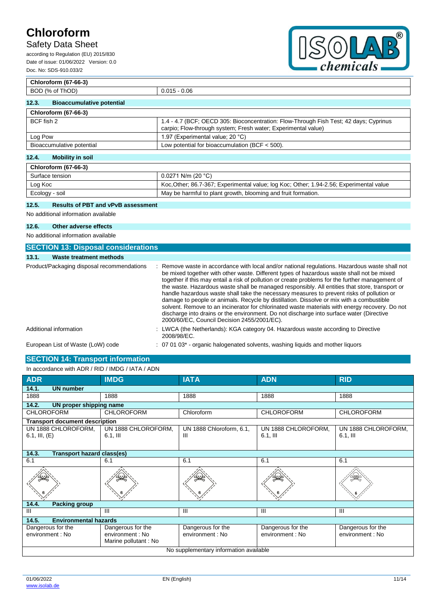## Safety Data Sheet

according to Regulation (EU) 2015/830 Date of issue: 01/06/2022 Version: 0.0 Doc. No: SDS-910.033/2



### **Chloroform (67-66-3)** BOD (% of ThOD) 0.015 - 0.06 **12.3. Bioaccumulative potential Chloroform (67-66-3)** BCF fish 2 1.4 - 4.7 (BCF; OECD 305: Bioconcentration: Flow-Through Fish Test; 42 days; Cyprinus carpio; Flow-through system; Fresh water; Experimental value) Log Pow  $\vert$  1.97 (Experimental value; 20 °C) Bioaccumulative potential Low potential for bioaccumulation (BCF < 500). **12.4. Mobility in soil**

| <b>Chloroform (67-66-3)</b> |                                                                                        |
|-----------------------------|----------------------------------------------------------------------------------------|
| Surface tension             | $0.0271$ N/m (20 °C)                                                                   |
| Log Koc                     | Koc Other, 86.7-367; Experimental value; log Koc; Other; 1.94-2.56; Experimental value |
| Ecology - soil              | May be harmful to plant growth, blooming and fruit formation.                          |

### **12.5. Results of PBT and vPvB assessment**

No additional information available

#### **12.6. Other adverse effects**

No additional information available

| <b>SECTION 13: Disposal considerations</b> |                                                                                                                                                                                                                                                                                                                                                                                                                                                                                                                                                                                                                                                                                                                                                                                                                                         |
|--------------------------------------------|-----------------------------------------------------------------------------------------------------------------------------------------------------------------------------------------------------------------------------------------------------------------------------------------------------------------------------------------------------------------------------------------------------------------------------------------------------------------------------------------------------------------------------------------------------------------------------------------------------------------------------------------------------------------------------------------------------------------------------------------------------------------------------------------------------------------------------------------|
| Waste treatment methods<br>13.1.           |                                                                                                                                                                                                                                                                                                                                                                                                                                                                                                                                                                                                                                                                                                                                                                                                                                         |
| Product/Packaging disposal recommendations | : Remove waste in accordance with local and/or national regulations. Hazardous waste shall not<br>be mixed together with other waste. Different types of hazardous waste shall not be mixed<br>together if this may entail a risk of pollution or create problems for the further management of<br>the waste. Hazardous waste shall be managed responsibly. All entities that store, transport or<br>handle hazardous waste shall take the necessary measures to prevent risks of pollution or<br>damage to people or animals. Recycle by distillation. Dissolve or mix with a combustible<br>solvent. Remove to an incinerator for chlorinated waste materials with energy recovery. Do not<br>discharge into drains or the environment. Do not discharge into surface water (Directive<br>2000/60/EC, Council Decision 2455/2001/EC). |
| Additional information                     | : LWCA (the Netherlands): KGA category 04. Hazardous waste according to Directive<br>2008/98/EC.                                                                                                                                                                                                                                                                                                                                                                                                                                                                                                                                                                                                                                                                                                                                        |
| European List of Waste (LoW) code          | $\therefore$ 07 01 03 $^*$ - organic halogenated solvents, washing liguids and mother liguors                                                                                                                                                                                                                                                                                                                                                                                                                                                                                                                                                                                                                                                                                                                                           |

### **SECTION 14: Transport information**

| In accordance with ADR / RID / IMDG / IATA / ADN |                                                               |                                       |                                      |                                       |
|--------------------------------------------------|---------------------------------------------------------------|---------------------------------------|--------------------------------------|---------------------------------------|
| <b>ADR</b>                                       | <b>IMDG</b>                                                   | <b>IATA</b>                           | <b>ADN</b>                           | <b>RID</b>                            |
| 14.1.<br><b>UN number</b>                        |                                                               |                                       |                                      |                                       |
| 1888                                             | 1888                                                          | 1888                                  | 1888                                 | 1888                                  |
| 14.2.<br>UN proper shipping name                 |                                                               |                                       |                                      |                                       |
| <b>CHLOROFORM</b>                                | <b>CHLOROFORM</b>                                             | Chloroform                            | <b>CHLOROFORM</b>                    | <b>CHLOROFORM</b>                     |
| <b>Transport document description</b>            |                                                               |                                       |                                      |                                       |
| UN 1888 CHLOROFORM,<br>6.1, III, $(E)$           | UN 1888 CHLOROFORM,<br>$6.1$ , III                            | UN 1888 Chloroform, 6.1,<br>Ш         | UN 1888 CHLOROFORM,<br>$6.1$ , III   | UN 1888 CHLOROFORM,<br>$6.1,$ III     |
| 14.3.<br><b>Transport hazard class(es)</b>       |                                                               |                                       |                                      |                                       |
| 6.1                                              | 6.1                                                           | 6.1                                   | 6.1                                  | 6.1                                   |
|                                                  |                                                               |                                       |                                      |                                       |
| 14.4.<br><b>Packing group</b>                    |                                                               |                                       |                                      |                                       |
| III                                              | Ш                                                             | $\mathbf{III}$                        | III                                  | Ш                                     |
| 14.5.<br><b>Environmental hazards</b>            |                                                               |                                       |                                      |                                       |
| Dangerous for the<br>environment : No            | Dangerous for the<br>environment : No<br>Marine pollutant: No | Dangerous for the<br>environment : No | Dangerous for the<br>environment: No | Dangerous for the<br>environment : No |
| No supplementary information available           |                                                               |                                       |                                      |                                       |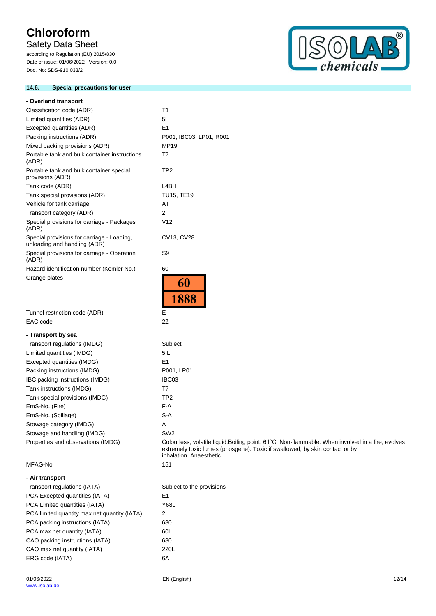## Safety Data Sheet

according to Regulation (EU) 2015/830 Date of issue: 01/06/2022 Version: 0.0 Doc. No: SDS-910.033/2

### **14.6. Special precautions for user**



| - Overland transport                                                       |                                                                                                                                                                                                                |
|----------------------------------------------------------------------------|----------------------------------------------------------------------------------------------------------------------------------------------------------------------------------------------------------------|
| Classification code (ADR)                                                  | : T1                                                                                                                                                                                                           |
| Limited quantities (ADR)                                                   | 5 <sub>l</sub>                                                                                                                                                                                                 |
| Excepted quantities (ADR)                                                  | $\therefore$ E1                                                                                                                                                                                                |
| Packing instructions (ADR)                                                 | : P001, IBC03, LP01, R001                                                                                                                                                                                      |
| Mixed packing provisions (ADR)                                             | : MP19                                                                                                                                                                                                         |
| Portable tank and bulk container instructions<br>(ADR)                     | $\therefore$ T7                                                                                                                                                                                                |
| Portable tank and bulk container special<br>provisions (ADR)               | $\therefore$ TP2                                                                                                                                                                                               |
| Tank code (ADR)                                                            | : L4BH                                                                                                                                                                                                         |
| Tank special provisions (ADR)                                              | : TU15, TE19                                                                                                                                                                                                   |
| Vehicle for tank carriage                                                  | : AT                                                                                                                                                                                                           |
| Transport category (ADR)                                                   | $\therefore$ 2                                                                                                                                                                                                 |
| Special provisions for carriage - Packages<br>(ADR)                        | $\therefore$ V12                                                                                                                                                                                               |
| Special provisions for carriage - Loading,<br>unloading and handling (ADR) | : CV13, CV28                                                                                                                                                                                                   |
| Special provisions for carriage - Operation<br>(ADR)                       | : S9                                                                                                                                                                                                           |
| Hazard identification number (Kemler No.)                                  | $\therefore 60$                                                                                                                                                                                                |
| Orange plates                                                              | ÷<br>60<br>1888                                                                                                                                                                                                |
| Tunnel restriction code (ADR)                                              | ÷Е                                                                                                                                                                                                             |
| EAC code                                                                   | : 2Z                                                                                                                                                                                                           |
|                                                                            |                                                                                                                                                                                                                |
| - Transport by sea                                                         |                                                                                                                                                                                                                |
| Transport regulations (IMDG)                                               | Subject<br>: 5L                                                                                                                                                                                                |
| Limited quantities (IMDG)<br>Excepted quantities (IMDG)                    | $\therefore$ E1                                                                                                                                                                                                |
| Packing instructions (IMDG)                                                | : P001, LP01                                                                                                                                                                                                   |
| IBC packing instructions (IMDG)                                            | IBC03                                                                                                                                                                                                          |
| Tank instructions (IMDG)                                                   | T7                                                                                                                                                                                                             |
| Tank special provisions (IMDG)                                             | TP <sub>2</sub>                                                                                                                                                                                                |
| EmS-No. (Fire)                                                             | $-F-A$                                                                                                                                                                                                         |
| EmS-No. (Spillage)                                                         | S-A                                                                                                                                                                                                            |
| Stowage category (IMDG)                                                    | $\therefore$ A                                                                                                                                                                                                 |
| Stowage and handling (IMDG)                                                | $:$ SW2                                                                                                                                                                                                        |
| Properties and observations (IMDG)                                         | : Colourless, volatile liquid. Boiling point: 61°C. Non-flammable. When involved in a fire, evolves<br>extremely toxic fumes (phosgene). Toxic if swallowed, by skin contact or by<br>inhalation. Anaesthetic. |
| MFAG-No                                                                    | : 151                                                                                                                                                                                                          |
| - Air transport                                                            |                                                                                                                                                                                                                |
| Transport regulations (IATA)                                               | : Subject to the provisions                                                                                                                                                                                    |
| PCA Excepted quantities (IATA)                                             | $\therefore$ E1                                                                                                                                                                                                |
| PCA Limited quantities (IATA)                                              | : Y680                                                                                                                                                                                                         |
| PCA limited quantity max net quantity (IATA)                               | $\cdot$ 2L                                                                                                                                                                                                     |
| PCA packing instructions (IATA)                                            | .680                                                                                                                                                                                                           |
| PCA max net quantity (IATA)                                                | .60L                                                                                                                                                                                                           |
| CAO packing instructions (IATA)                                            | .680                                                                                                                                                                                                           |
| CAO max net quantity (IATA)                                                | : 220L                                                                                                                                                                                                         |
| ERG code (IATA)                                                            | .6A                                                                                                                                                                                                            |
|                                                                            |                                                                                                                                                                                                                |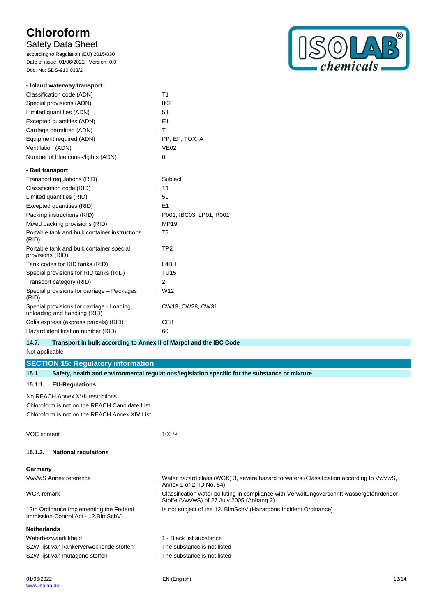## Safety Data Sheet

according to Regulation (EU) 2015/830 Date of issue: 01/06/2022 Version: 0.0 Doc. No: SDS-910.033/2



| - Inland waterway transport                                                |                         |
|----------------------------------------------------------------------------|-------------------------|
| Classification code (ADN)                                                  | $:$ T1                  |
| Special provisions (ADN)                                                   | -802                    |
| Limited quantities (ADN)                                                   | : 5L                    |
| Excepted quantities (ADN)                                                  | $E = F1$                |
| Carriage permitted (ADN)                                                   | : T                     |
| Equipment required (ADN)                                                   | $:$ PP, EP, TOX, A      |
| Ventilation (ADN)                                                          | $\therefore$ VE02       |
| Number of blue cones/lights (ADN)                                          | 0                       |
| - Rail transport                                                           |                         |
| Transport regulations (RID)                                                | : Subject               |
| Classification code (RID)                                                  | $:$ T1                  |
| Limited quantities (RID)                                                   | : 5L                    |
| Excepted quantities (RID)                                                  | $E = 51$                |
| Packing instructions (RID)                                                 | P001, IBC03, LP01, R001 |
| Mixed packing provisions (RID)                                             | MP19                    |
| Portable tank and bulk container instructions<br>(RID)                     | T <sub>7</sub>          |
| Portable tank and bulk container special<br>provisions (RID)               | TP <sub>2</sub>         |
| Tank codes for RID tanks (RID)                                             | L4BH                    |
| Special provisions for RID tanks (RID)                                     | <b>TU15</b>             |
| Transport category (RID)                                                   | $\therefore$ 2          |
| Special provisions for carriage - Packages<br>(RID)                        | W <sub>12</sub>         |
| Special provisions for carriage - Loading,<br>unloading and handling (RID) | CW13, CW28, CW31        |
| Colis express (express parcels) (RID)                                      | CE <sub>8</sub>         |
| Hazard identification number (RID)                                         | 60                      |

### **14.7. Transport in bulk according to Annex II of Marpol and the IBC Code**

Not applicable

**SECTION 15: Regulatory information**

| 15.1.              | Safety, health and environmental regulations/legislation specific for the substance or mixture |                                                                                                                                           |  |
|--------------------|------------------------------------------------------------------------------------------------|-------------------------------------------------------------------------------------------------------------------------------------------|--|
| 15.1.1.            | <b>EU-Regulations</b>                                                                          |                                                                                                                                           |  |
|                    | No REACH Annex XVII restrictions                                                               |                                                                                                                                           |  |
|                    | Chloroform is not on the REACH Candidate List                                                  |                                                                                                                                           |  |
|                    | Chloroform is not on the REACH Annex XIV List                                                  |                                                                                                                                           |  |
| VOC content        |                                                                                                | $: 100 \%$                                                                                                                                |  |
| 15.1.2.            | <b>National regulations</b>                                                                    |                                                                                                                                           |  |
| Germany            |                                                                                                |                                                                                                                                           |  |
|                    | VwVwS Annex reference                                                                          | : Water hazard class (WGK) 3, severe hazard to waters (Classification according to VwVwS,<br>Annex 1 or 2; ID No. 54)                     |  |
| WGK remark         |                                                                                                | : Classification water polluting in compliance with Verwaltungsvorschrift wassergefährdender<br>Stoffe (VwVwS) of 27 July 2005 (Anhang 2) |  |
|                    | 12th Ordinance Implementing the Federal<br>Immission Control Act - 12. BlmSchV                 | : Is not subject of the 12. BlmSchV (Hazardous Incident Ordinance)                                                                        |  |
| <b>Netherlands</b> |                                                                                                |                                                                                                                                           |  |
|                    | Waterbezwaarlijkheid                                                                           | : 1 - Black list substance                                                                                                                |  |
|                    | SZW-lijst van kankerverwekkende stoffen                                                        | : The substance is not listed                                                                                                             |  |
|                    | SZW-lijst van mutagene stoffen                                                                 | : The substance is not listed                                                                                                             |  |